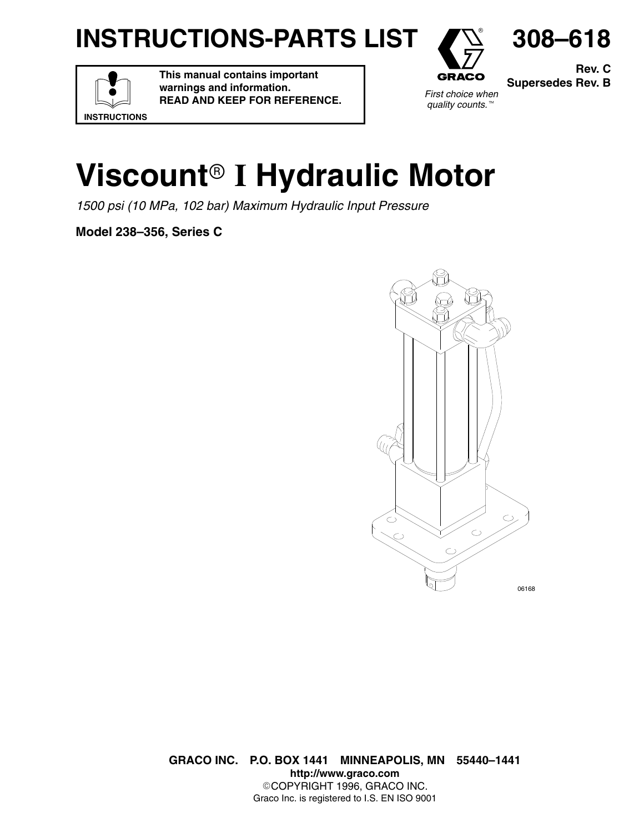## **INSTRUCTIONS-PARTS LIST**



**Rev. C Supersedes Rev. B**

**308–618**

**INSTRUCTIONS**

**This manual contains important warnings and information. READ AND KEEP FOR REFERENCE.**



# **Viscount<sup>®</sup> I Hydraulic Motor**

1500 psi (10 MPa, 102 bar) Maximum Hydraulic Input Pressure

**Model 238–356, Series C**



**GRACO INC. P.O. BOX 1441 MINNEAPOLIS, MN 55440–1441 http://www.graco.com** COPYRIGHT 1996, GRACO INC. Graco Inc. is registered to I.S. EN ISO 9001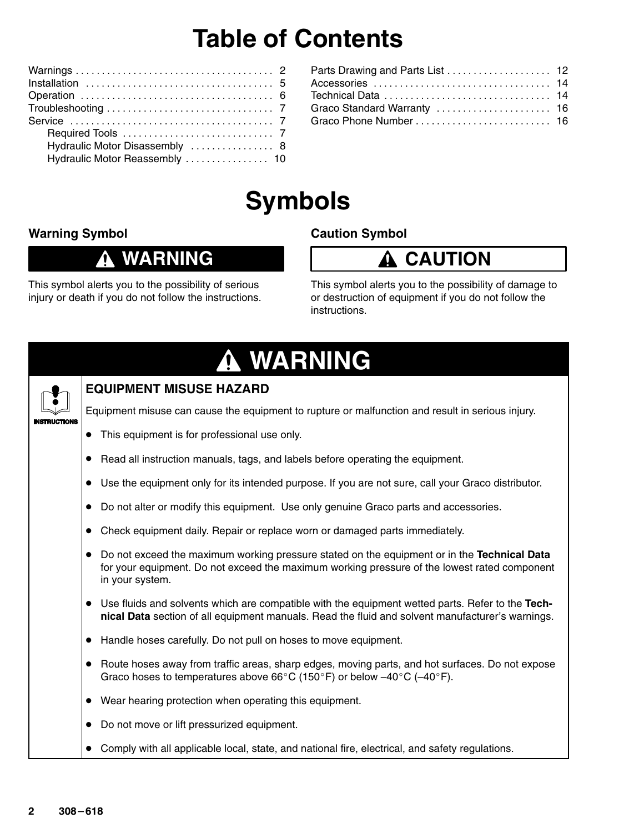### **Table of Contents**

| Hydraulic Motor Disassembly  8 |  |
|--------------------------------|--|
| Hydraulic Motor Reassembly  10 |  |
|                                |  |

| Parts Drawing and Parts List  12 |  |
|----------------------------------|--|
|                                  |  |
|                                  |  |
| Graco Standard Warranty  16      |  |
|                                  |  |
|                                  |  |

### **Symbols**

#### **Warning Symbol**

### **WARNING**

This symbol alerts you to the possibility of serious injury or death if you do not follow the instructions. **Caution Symbol**

#### **CAUTION** А.

This symbol alerts you to the possibility of damage to or destruction of equipment if you do not follow the instructions.

| <b>A WARNING</b>                                                                                                                                                                                                  |
|-------------------------------------------------------------------------------------------------------------------------------------------------------------------------------------------------------------------|
| <b>EQUIPMENT MISUSE HAZARD</b>                                                                                                                                                                                    |
| Equipment misuse can cause the equipment to rupture or malfunction and result in serious injury.                                                                                                                  |
| This equipment is for professional use only.                                                                                                                                                                      |
| Read all instruction manuals, tags, and labels before operating the equipment.<br>$\bullet$                                                                                                                       |
| Use the equipment only for its intended purpose. If you are not sure, call your Graco distributor.<br>$\bullet$                                                                                                   |
| Do not alter or modify this equipment. Use only genuine Graco parts and accessories.                                                                                                                              |
| Check equipment daily. Repair or replace worn or damaged parts immediately.                                                                                                                                       |
| Do not exceed the maximum working pressure stated on the equipment or in the Technical Data<br>for your equipment. Do not exceed the maximum working pressure of the lowest rated component<br>in your system.    |
| Use fluids and solvents which are compatible with the equipment wetted parts. Refer to the Tech-<br>$\bullet$<br>nical Data section of all equipment manuals. Read the fluid and solvent manufacturer's warnings. |
| • Handle hoses carefully. Do not pull on hoses to move equipment.                                                                                                                                                 |
| Route hoses away from traffic areas, sharp edges, moving parts, and hot surfaces. Do not expose<br>Graco hoses to temperatures above 66°C (150°F) or below $-40^{\circ}$ C ( $-40^{\circ}$ F).                    |
| Wear hearing protection when operating this equipment.                                                                                                                                                            |
| Do not move or lift pressurized equipment.                                                                                                                                                                        |
| Comply with all applicable local, state, and national fire, electrical, and safety regulations.                                                                                                                   |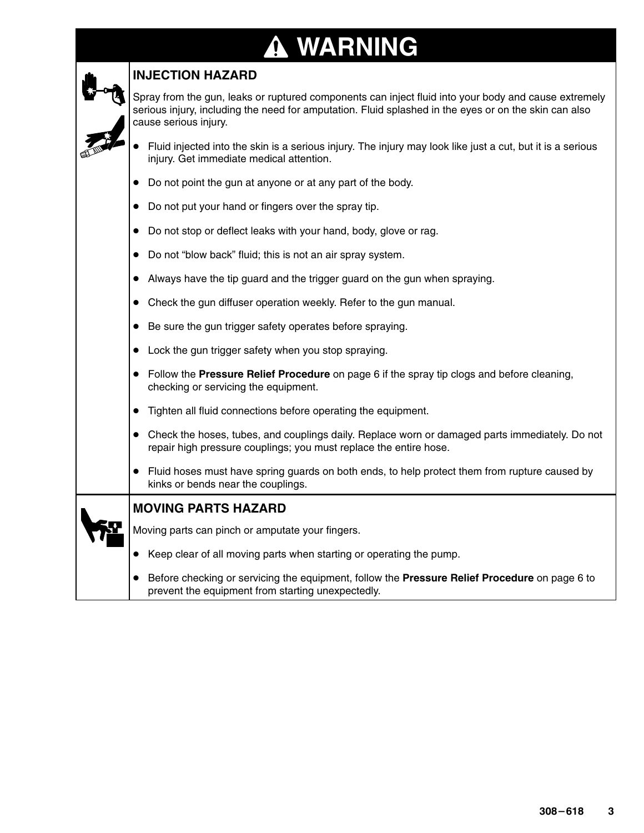## **WARNING**

| <b>INJECTION HAZARD</b>                                                                                                                                                                                                                |
|----------------------------------------------------------------------------------------------------------------------------------------------------------------------------------------------------------------------------------------|
| Spray from the gun, leaks or ruptured components can inject fluid into your body and cause extremely<br>serious injury, including the need for amputation. Fluid splashed in the eyes or on the skin can also<br>cause serious injury. |
| Fluid injected into the skin is a serious injury. The injury may look like just a cut, but it is a serious<br>injury. Get immediate medical attention.                                                                                 |
| • Do not point the gun at anyone or at any part of the body.                                                                                                                                                                           |
| Do not put your hand or fingers over the spray tip.                                                                                                                                                                                    |
| Do not stop or deflect leaks with your hand, body, glove or rag.                                                                                                                                                                       |
| Do not "blow back" fluid; this is not an air spray system.<br>$\bullet$                                                                                                                                                                |
| Always have the tip guard and the trigger guard on the gun when spraying.                                                                                                                                                              |
| Check the gun diffuser operation weekly. Refer to the gun manual.                                                                                                                                                                      |
| Be sure the gun trigger safety operates before spraying.<br>$\bullet$                                                                                                                                                                  |
| Lock the gun trigger safety when you stop spraying.                                                                                                                                                                                    |
| Follow the Pressure Relief Procedure on page 6 if the spray tip clogs and before cleaning,<br>checking or servicing the equipment.                                                                                                     |
| • Tighten all fluid connections before operating the equipment.                                                                                                                                                                        |
| Check the hoses, tubes, and couplings daily. Replace worn or damaged parts immediately. Do not<br>repair high pressure couplings; you must replace the entire hose.                                                                    |
| Fluid hoses must have spring guards on both ends, to help protect them from rupture caused by<br>kinks or bends near the couplings.                                                                                                    |
| <b>MOVING PARTS HAZARD</b>                                                                                                                                                                                                             |
| Moving parts can pinch or amputate your fingers.                                                                                                                                                                                       |
| • Keep clear of all moving parts when starting or operating the pump.                                                                                                                                                                  |
| Before checking or servicing the equipment, follow the Pressure Relief Procedure on page 6 to<br>prevent the equipment from starting unexpectedly.                                                                                     |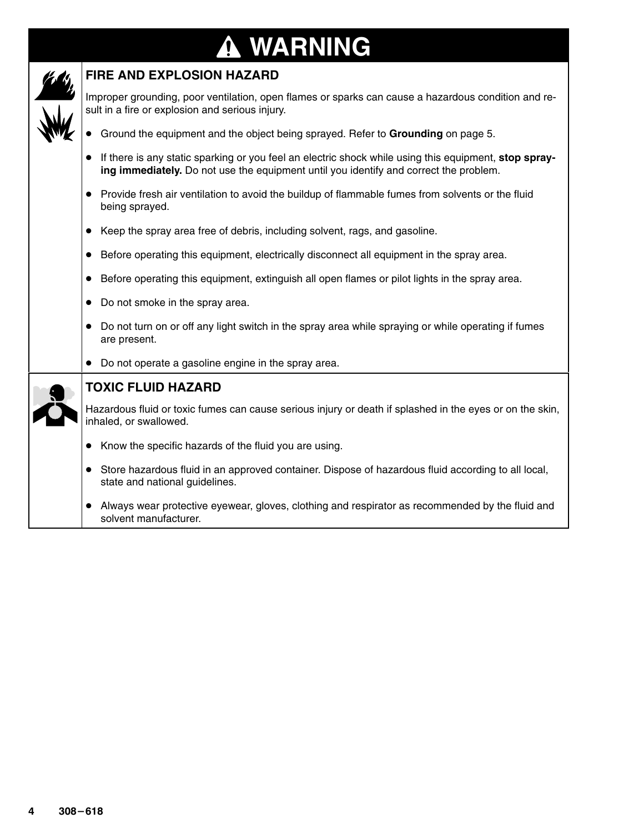## **WARNING**

| <b>FIRE AND EXPLOSION HAZARD</b>                                                                                                                                                               |
|------------------------------------------------------------------------------------------------------------------------------------------------------------------------------------------------|
| Improper grounding, poor ventilation, open flames or sparks can cause a hazardous condition and re-<br>sult in a fire or explosion and serious injury.                                         |
| Ground the equipment and the object being sprayed. Refer to Grounding on page 5.                                                                                                               |
| If there is any static sparking or you feel an electric shock while using this equipment, stop spray-<br>ing immediately. Do not use the equipment until you identify and correct the problem. |
| • Provide fresh air ventilation to avoid the buildup of flammable fumes from solvents or the fluid<br>being sprayed.                                                                           |
| • Keep the spray area free of debris, including solvent, rags, and gasoline.                                                                                                                   |
| Before operating this equipment, electrically disconnect all equipment in the spray area.                                                                                                      |
| Before operating this equipment, extinguish all open flames or pilot lights in the spray area.                                                                                                 |
| Do not smoke in the spray area.                                                                                                                                                                |
| Do not turn on or off any light switch in the spray area while spraying or while operating if fumes<br>are present.                                                                            |
| Do not operate a gasoline engine in the spray area.                                                                                                                                            |
| <b>TOXIC FLUID HAZARD</b>                                                                                                                                                                      |
| Hazardous fluid or toxic fumes can cause serious injury or death if splashed in the eyes or on the skin,<br>inhaled, or swallowed.                                                             |
| Know the specific hazards of the fluid you are using.                                                                                                                                          |
| Store hazardous fluid in an approved container. Dispose of hazardous fluid according to all local,<br>$\bullet$<br>state and national guidelines.                                              |
| Always wear protective eyewear, gloves, clothing and respirator as recommended by the fluid and<br>solvent manufacturer.                                                                       |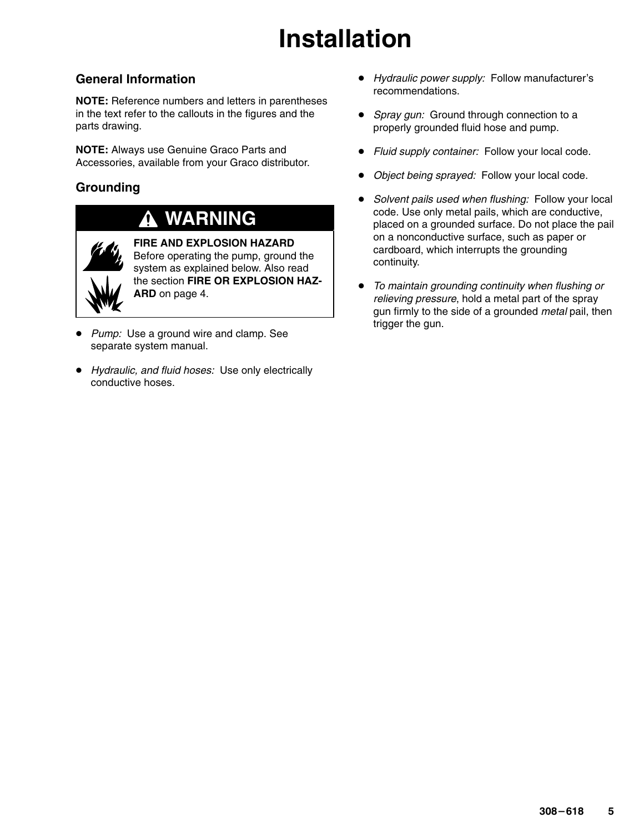## **Installation**

#### **General Information**

**NOTE:** Reference numbers and letters in parentheses in the text refer to the callouts in the figures and the parts drawing.

**NOTE:** Always use Genuine Graco Parts and Accessories, available from your Graco distributor.

#### **Grounding**

### **WARNING**



**FIRE AND EXPLOSION HAZARD** Before operating the pump, ground the system as explained below. Also read the section **FIRE OR EXPLOSION HAZ-ARD** on page 4.

- $\bullet$ Pump: Use a ground wire and clamp. See separate system manual.
- Hydraulic, and fluid hoses: Use only electrically conductive hoses.
- Hydraulic power supply: Follow manufacturer's recommendations.
- Spray gun: Ground through connection to a properly grounded fluid hose and pump.
- Fluid supply container: Follow your local code.
- $\bullet$ Object being sprayed: Follow your local code.
- Solvent pails used when flushing: Follow your local code. Use only metal pails, which are conductive, placed on a grounded surface. Do not place the pail on a nonconductive surface, such as paper or cardboard, which interrupts the grounding continuity.
- $\bullet$  To maintain grounding continuity when flushing or relieving pressure, hold a metal part of the spray gun firmly to the side of a grounded metal pail, then trigger the gun.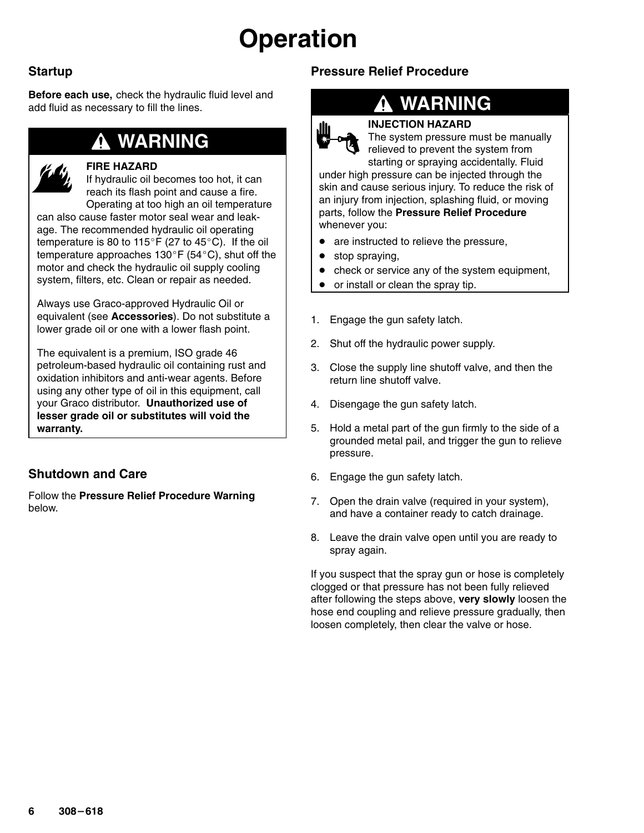## **Operation**

#### **Startup**

**Before each use,** check the hydraulic fluid level and add fluid as necessary to fill the lines.

### **WARNING**



#### **FIRE HAZARD**

If hydraulic oil becomes too hot, it can reach its flash point and cause a fire. Operating at too high an oil temperature

can also cause faster motor seal wear and leakage. The recommended hydraulic oil operating temperature is 80 to 115°F (27 to 45°C). If the oil temperature approaches 130°F (54°C), shut off the motor and check the hydraulic oil supply cooling system, filters, etc. Clean or repair as needed.

Always use Graco-approved Hydraulic Oil or equivalent (see **Accessories**). Do not substitute a lower grade oil or one with a lower flash point.

The equivalent is a premium, ISO grade 46 petroleum-based hydraulic oil containing rust and oxidation inhibitors and anti-wear agents. Before using any other type of oil in this equipment, call your Graco distributor. **Unauthorized use of lesser grade oil or substitutes will void the warranty.**

#### **Shutdown and Care**

Follow the **Pressure Relief Procedure Warning** below.

### **Pressure Relief Procedure**

### **WARNING**

#### **INJECTION HAZARD**



The system pressure must be manually relieved to prevent the system from starting or spraying accidentally. Fluid

under high pressure can be injected through the skin and cause serious injury. To reduce the risk of an injury from injection, splashing fluid, or moving parts, follow the **Pressure Relief Procedure** whenever you:

- $\bullet$ are instructed to relieve the pressure,
- $\bullet$ stop spraying,
- $\bullet$ check or service any of the system equipment,
- $\bullet$ or install or clean the spray tip.
- 1. Engage the gun safety latch.
- 2. Shut off the hydraulic power supply.
- 3. Close the supply line shutoff valve, and then the return line shutoff valve.
- 4. Disengage the gun safety latch.
- 5. Hold a metal part of the gun firmly to the side of a grounded metal pail, and trigger the gun to relieve pressure.
- 6. Engage the gun safety latch.
- 7. Open the drain valve (required in your system), and have a container ready to catch drainage.
- 8. Leave the drain valve open until you are ready to spray again.

If you suspect that the spray gun or hose is completely clogged or that pressure has not been fully relieved after following the steps above, **very slowly** loosen the hose end coupling and relieve pressure gradually, then loosen completely, then clear the valve or hose.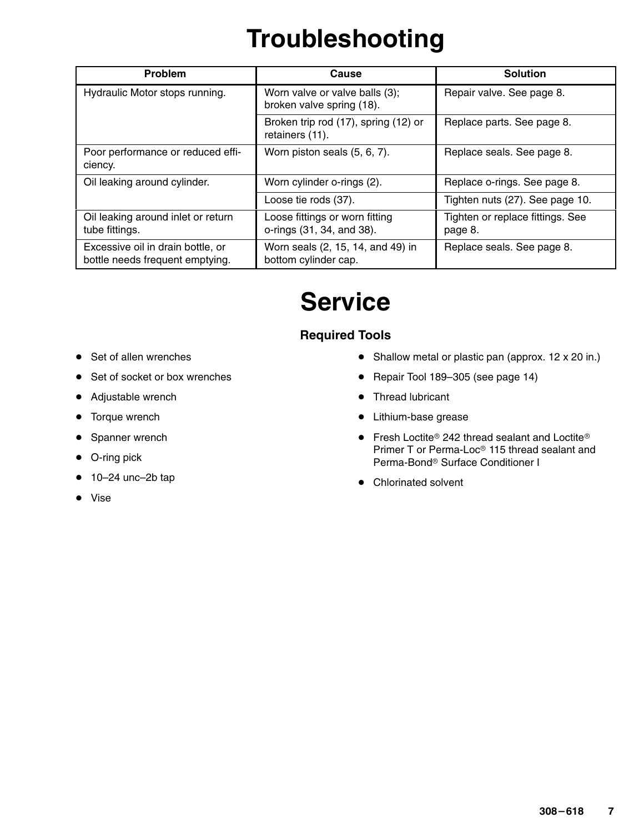## **Troubleshooting**

| <b>Problem</b>                                                       | Cause                                                       | <b>Solution</b>                             |
|----------------------------------------------------------------------|-------------------------------------------------------------|---------------------------------------------|
| Hydraulic Motor stops running.                                       | Worn valve or valve balls (3);<br>broken valve spring (18). | Repair valve. See page 8.                   |
|                                                                      | Broken trip rod (17), spring (12) or<br>retainers (11).     | Replace parts. See page 8.                  |
| Poor performance or reduced effi-<br>ciency.                         | Worn piston seals (5, 6, 7).                                | Replace seals. See page 8.                  |
| Oil leaking around cylinder.                                         | Worn cylinder o-rings (2).                                  | Replace o-rings. See page 8.                |
|                                                                      | Loose tie rods (37).                                        | Tighten nuts (27). See page 10.             |
| Oil leaking around inlet or return<br>tube fittings.                 | Loose fittings or worn fitting<br>o-rings (31, 34, and 38). | Tighten or replace fittings. See<br>page 8. |
| Excessive oil in drain bottle, or<br>bottle needs frequent emptying. | Worn seals (2, 15, 14, and 49) in<br>bottom cylinder cap.   | Replace seals. See page 8.                  |

### **Service**

#### **Required Tools**

- Set of allen wrenches
- Set of socket or box wrenches
- Adjustable wrench
- Torque wrench
- Spanner wrench
- O-ring pick
- $\bullet$  10-24 unc-2b tap
- Vise
- Shallow metal or plastic pan (approx. 12 x 20 in.)
- Repair Tool 189-305 (see page 14)
- Thread lubricant
- Lithium-base grease
- Fresh Loctite<sup>®</sup> 242 thread sealant and Loctite<sup>®</sup> Primer T or Perma-Loc<sup>®</sup> 115 thread sealant and Perma-Bond<sup>®</sup> Surface Conditioner I
- Chlorinated solvent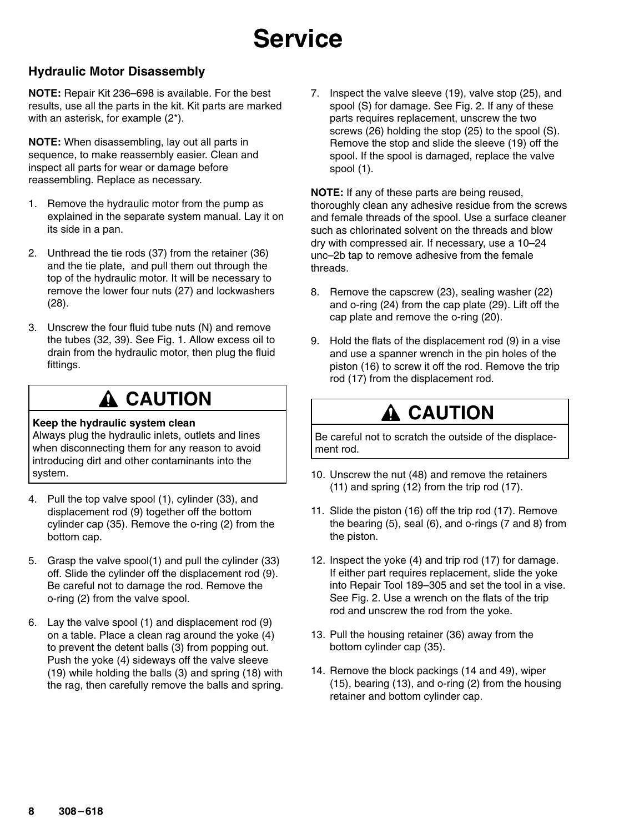## **Service**

#### **Hydraulic Motor Disassembly**

**NOTE:** Repair Kit 236–698 is available. For the best results, use all the parts in the kit. Kit parts are marked with an asterisk, for example (2\*).

**NOTE:** When disassembling, lay out all parts in sequence, to make reassembly easier. Clean and inspect all parts for wear or damage before reassembling. Replace as necessary.

- 1. Remove the hydraulic motor from the pump as explained in the separate system manual. Lay it on its side in a pan.
- 2. Unthread the tie rods (37) from the retainer (36) and the tie plate, and pull them out through the top of the hydraulic motor. It will be necessary to remove the lower four nuts (27) and lockwashers (28).
- 3. Unscrew the four fluid tube nuts (N) and remove the tubes (32, 39). See Fig. 1. Allow excess oil to drain from the hydraulic motor, then plug the fluid fittings.

### **A CAUTION**

#### **Keep the hydraulic system clean**

Always plug the hydraulic inlets, outlets and lines when disconnecting them for any reason to avoid introducing dirt and other contaminants into the system.

- 4. Pull the top valve spool (1), cylinder (33), and displacement rod (9) together off the bottom cylinder cap (35). Remove the o-ring (2) from the bottom cap.
- 5. Grasp the valve spool(1) and pull the cylinder (33) off. Slide the cylinder off the displacement rod (9). Be careful not to damage the rod. Remove the o-ring (2) from the valve spool.
- 6. Lay the valve spool (1) and displacement rod (9) on a table. Place a clean rag around the yoke (4) to prevent the detent balls (3) from popping out. Push the yoke (4) sideways off the valve sleeve (19) while holding the balls (3) and spring (18) with the rag, then carefully remove the balls and spring.

7. Inspect the valve sleeve (19), valve stop (25), and spool (S) for damage. See Fig. 2. If any of these parts requires replacement, unscrew the two screws (26) holding the stop (25) to the spool (S). Remove the stop and slide the sleeve (19) off the spool. If the spool is damaged, replace the valve spool (1).

**NOTE:** If any of these parts are being reused, thoroughly clean any adhesive residue from the screws and female threads of the spool. Use a surface cleaner such as chlorinated solvent on the threads and blow dry with compressed air. If necessary, use a 10–24 unc–2b tap to remove adhesive from the female threads.

- 8. Remove the capscrew (23), sealing washer (22) and o-ring (24) from the cap plate (29). Lift off the cap plate and remove the o-ring (20).
- 9. Hold the flats of the displacement rod (9) in a vise and use a spanner wrench in the pin holes of the piston (16) to screw it off the rod. Remove the trip rod (17) from the displacement rod.

### **A** CAUTION

Be careful not to scratch the outside of the displacement rod.

- 10. Unscrew the nut (48) and remove the retainers (11) and spring (12) from the trip rod (17).
- 11. Slide the piston (16) off the trip rod (17). Remove the bearing (5), seal (6), and o-rings (7 and 8) from the piston.
- 12. Inspect the yoke (4) and trip rod (17) for damage. If either part requires replacement, slide the yoke into Repair Tool 189–305 and set the tool in a vise. See Fig. 2. Use a wrench on the flats of the trip rod and unscrew the rod from the yoke.
- 13. Pull the housing retainer (36) away from the bottom cylinder cap (35).
- 14. Remove the block packings (14 and 49), wiper (15), bearing (13), and o-ring (2) from the housing retainer and bottom cylinder cap.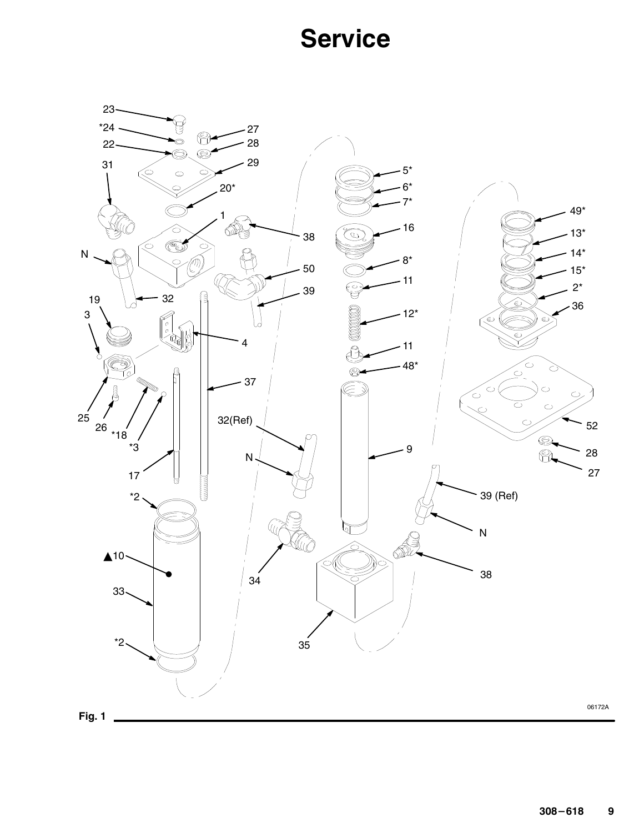### **Service**

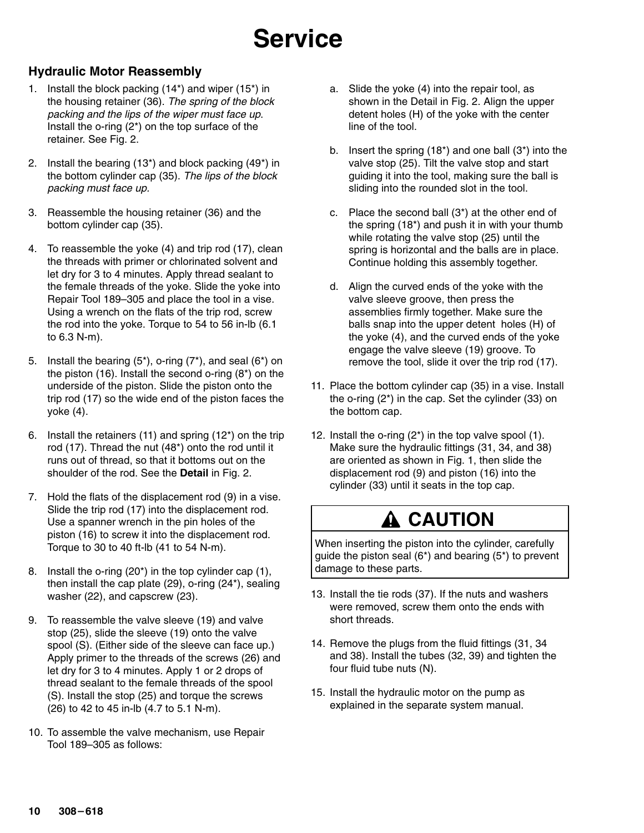## **Service**

#### **Hydraulic Motor Reassembly**

- 1. Install the block packing (14\*) and wiper (15\*) in the housing retainer (36). The spring of the block packing and the lips of the wiper must face up. Install the o-ring  $(2^*)$  on the top surface of the retainer. See Fig. 2.
- 2. Install the bearing (13\*) and block packing (49\*) in the bottom cylinder cap (35). The lips of the block packing must face up.
- 3. Reassemble the housing retainer (36) and the bottom cylinder cap (35).
- 4. To reassemble the yoke (4) and trip rod (17), clean the threads with primer or chlorinated solvent and let dry for 3 to 4 minutes. Apply thread sealant to the female threads of the yoke. Slide the yoke into Repair Tool 189–305 and place the tool in a vise. Using a wrench on the flats of the trip rod, screw the rod into the yoke. Torque to 54 to 56 in-lb (6.1 to 6.3 N-m).
- 5. Install the bearing (5\*), o-ring (7\*), and seal (6\*) on the piston (16). Install the second o-ring (8\*) on the underside of the piston. Slide the piston onto the trip rod (17) so the wide end of the piston faces the yoke (4).
- 6. Install the retainers (11) and spring (12\*) on the trip rod (17). Thread the nut (48\*) onto the rod until it runs out of thread, so that it bottoms out on the shoulder of the rod. See the **Detail** in Fig. 2.
- 7. Hold the flats of the displacement rod (9) in a vise. Slide the trip rod (17) into the displacement rod. Use a spanner wrench in the pin holes of the piston (16) to screw it into the displacement rod. Torque to 30 to 40 ft-lb (41 to 54 N-m).
- 8. Install the o-ring (20\*) in the top cylinder cap (1), then install the cap plate (29), o-ring (24\*), sealing washer (22), and capscrew (23).
- 9. To reassemble the valve sleeve (19) and valve stop (25), slide the sleeve (19) onto the valve spool (S). (Either side of the sleeve can face up.) Apply primer to the threads of the screws (26) and let dry for 3 to 4 minutes. Apply 1 or 2 drops of thread sealant to the female threads of the spool (S). Install the stop (25) and torque the screws (26) to 42 to 45 in-lb (4.7 to 5.1 N-m).
- 10. To assemble the valve mechanism, use Repair Tool 189–305 as follows:
- a. Slide the yoke (4) into the repair tool, as shown in the Detail in Fig. 2. Align the upper detent holes (H) of the yoke with the center line of the tool.
- b. Insert the spring (18\*) and one ball (3\*) into the valve stop (25). Tilt the valve stop and start guiding it into the tool, making sure the ball is sliding into the rounded slot in the tool.
- c. Place the second ball (3\*) at the other end of the spring (18\*) and push it in with your thumb while rotating the valve stop (25) until the spring is horizontal and the balls are in place. Continue holding this assembly together.
- d. Align the curved ends of the yoke with the valve sleeve groove, then press the assemblies firmly together. Make sure the balls snap into the upper detent holes (H) of the yoke (4), and the curved ends of the yoke engage the valve sleeve (19) groove. To remove the tool, slide it over the trip rod (17).
- 11. Place the bottom cylinder cap (35) in a vise. Install the o-ring (2\*) in the cap. Set the cylinder (33) on the bottom cap.
- 12. Install the o-ring (2\*) in the top valve spool (1). Make sure the hydraulic fittings (31, 34, and 38) are oriented as shown in Fig. 1, then slide the displacement rod (9) and piston (16) into the cylinder (33) until it seats in the top cap.

### **A CAUTION**

When inserting the piston into the cylinder, carefully guide the piston seal (6\*) and bearing (5\*) to prevent damage to these parts.

- 13. Install the tie rods (37). If the nuts and washers were removed, screw them onto the ends with short threads.
- 14. Remove the plugs from the fluid fittings (31, 34 and 38). Install the tubes (32, 39) and tighten the four fluid tube nuts (N).
- 15. Install the hydraulic motor on the pump as explained in the separate system manual.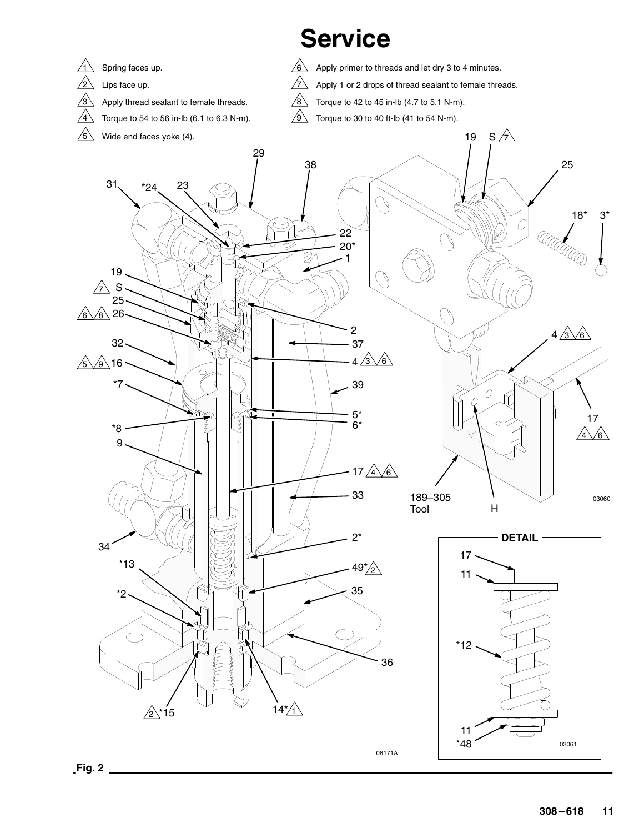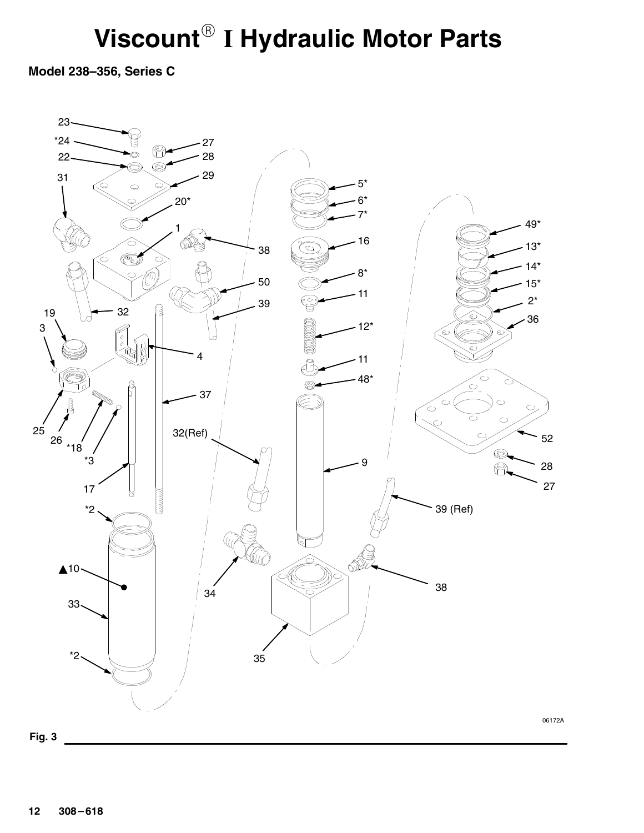## **Viscount<sup>®</sup> I Hydraulic Motor Parts**

**Model 238–356, Series C**

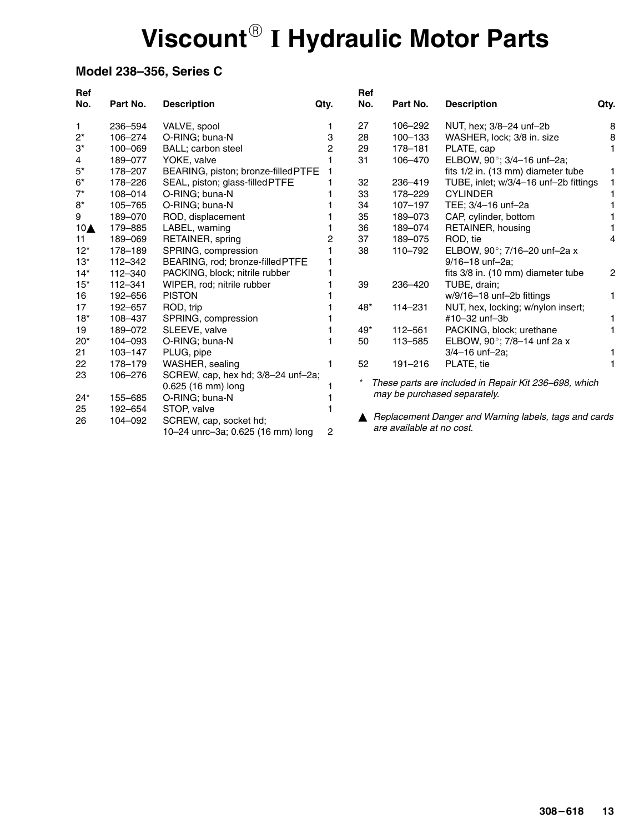## **Viscount<sup>®</sup> I Hydraulic Motor Parts**

### **Model 238–356, Series C**

| Ref<br>No.         | Part No.    | <b>Description</b>                 | Qty. | Ref<br>No. | Part No.                  | <b>Description</b>                                    | Qty.           |
|--------------------|-------------|------------------------------------|------|------------|---------------------------|-------------------------------------------------------|----------------|
| 1                  | 236-594     | VALVE, spool                       |      | 27         | 106-292                   | NUT, hex; 3/8-24 unf-2b                               | 8              |
| $2^*$              | 106-274     | O-RING; buna-N                     | 3    | 28         | $100 - 133$               | WASHER, lock; 3/8 in. size                            | 8              |
| 3*                 | 100-069     | BALL; carbon steel                 | 2    | 29         | 178-181                   | PLATE, cap                                            |                |
| 4                  | 189-077     | YOKE, valve                        |      | 31         | 106-470                   | ELBOW, 90°; 3/4-16 unf-2a;                            |                |
| $5^*$              | 178-207     | BEARING, piston; bronze-filledPTFE |      |            |                           | fits 1/2 in. (13 mm) diameter tube                    |                |
| $6*$               | 178-226     | SEAL, piston; glass-filledPTFE     |      | 32         | 236-419                   | TUBE, inlet; w/3/4-16 unf-2b fittings                 |                |
| $7^*$              | 108-014     | O-RING; buna-N                     |      | 33         | 178-229                   | <b>CYLINDER</b>                                       |                |
| 8*                 | 105-765     | O-RING; buna-N                     |      | 34         | $107 - 197$               | TEE; 3/4-16 unf-2a                                    |                |
| 9                  | 189-070     | ROD, displacement                  |      | 35         | 189-073                   | CAP, cylinder, bottom                                 |                |
| $10\blacktriangle$ | 179-885     | LABEL, warning                     |      | 36         | 189-074                   | RETAINER, housing                                     |                |
| 11                 | 189-069     | RETAINER, spring                   | 2    | 37         | 189-075                   | ROD, tie                                              | 4              |
| $12*$              | 178-189     | SPRING, compression                |      | 38         | 110-792                   | ELBOW, 90°; 7/16-20 unf-2a x                          |                |
| $13*$              | $112 - 342$ | BEARING, rod; bronze-filledPTFE    |      |            |                           | 9/16-18 unf-2a:                                       |                |
| $14*$              | 112-340     | PACKING, block; nitrile rubber     |      |            |                           | fits 3/8 in. (10 mm) diameter tube                    | $\overline{c}$ |
| $15*$              | 112-341     | WIPER, rod; nitrile rubber         |      | 39         | 236-420                   | TUBE, drain;                                          |                |
| 16                 | 192-656     | <b>PISTON</b>                      |      |            |                           | w/9/16-18 unf-2b fittings                             | 1              |
| 17                 | 192-657     | ROD, trip                          |      | 48*        | $114 - 231$               | NUT, hex, locking; w/nylon insert;                    |                |
| $18*$              | 108-437     | SPRING, compression                |      |            |                           | #10-32 unf-3b                                         |                |
| 19                 | 189-072     | SLEEVE, valve                      |      | 49*        | $112 - 561$               | PACKING, block; urethane                              |                |
| $20*$              | 104-093     | O-RING; buna-N                     |      | 50         | 113-585                   | ELBOW, 90°; 7/8-14 unf 2a x                           |                |
| 21                 | 103-147     | PLUG, pipe                         |      |            |                           | 3/4-16 unf-2a;                                        |                |
| 22                 | 178-179     | WASHER, sealing                    |      | 52         | $191 - 216$               | PLATE, tie                                            |                |
| 23                 | 106-276     | SCREW, cap, hex hd; 3/8-24 unf-2a; |      |            |                           |                                                       |                |
|                    |             | 0.625 (16 mm) long                 |      |            |                           | These parts are included in Repair Kit 236–698, which |                |
| $24*$              | 155-685     | O-RING; buna-N                     |      |            |                           | may be purchased separately.                          |                |
| 25                 | 192-654     | STOP, valve                        |      |            |                           |                                                       |                |
| 26                 | 104-092     | SCREW, cap, socket hd;             |      |            |                           | Replacement Danger and Warning labels, tags and cards |                |
|                    |             | 10-24 unrc-3a; 0.625 (16 mm) long  | 2    |            | are available at no cost. |                                                       |                |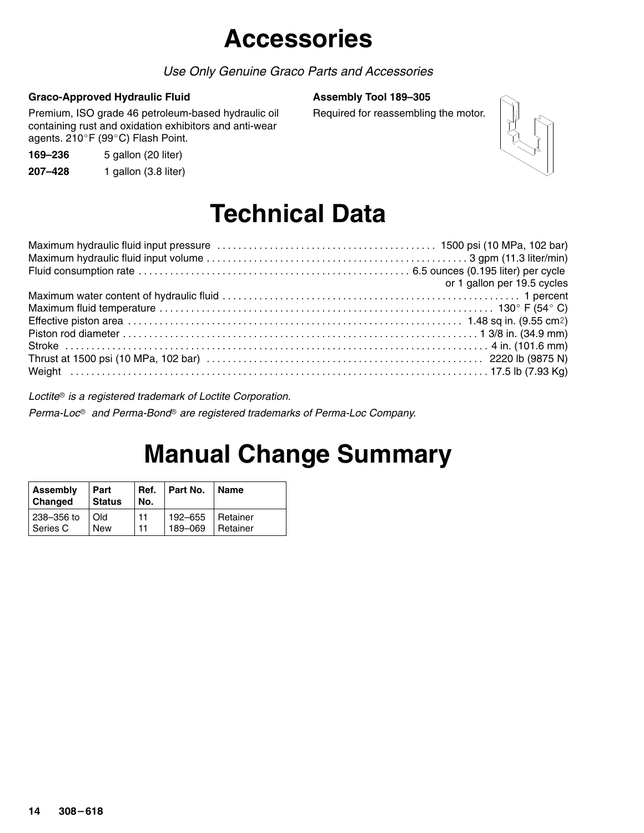### **Accessories**

Use Only Genuine Graco Parts and Accessories

#### **Graco-Approved Hydraulic Fluid**

Premium, ISO grade 46 petroleum-based hydraulic oil containing rust and oxidation exhibitors and anti-wear agents. 210°F (99°C) Flash Point.

**169–236** 5 gallon (20 liter)

**207–428** 1 gallon (3.8 liter)

#### **Assembly Tool 189–305**

Required for reassembling the motor.



### **Technical Data**

| or 1 gallon per 19.5 cycles |
|-----------------------------|
|                             |
|                             |
|                             |
|                             |
|                             |
|                             |
|                             |

Loctite<sup>®</sup> is a registered trademark of Loctite Corporation.

Perma-Loc<sup>®</sup> and Perma-Bond<sup>®</sup> are registered trademarks of Perma-Loc Company.

### **Manual Change Summary**

| Assembly<br>Changed | Part<br><b>Status</b> | No. | Ref. Part No.      | l Name |
|---------------------|-----------------------|-----|--------------------|--------|
| 238-356 to          | LOIJ                  | 11  | 192-655 Retainer   |        |
| Series C            | <b>New</b>            | 11  | 189-069   Retainer |        |